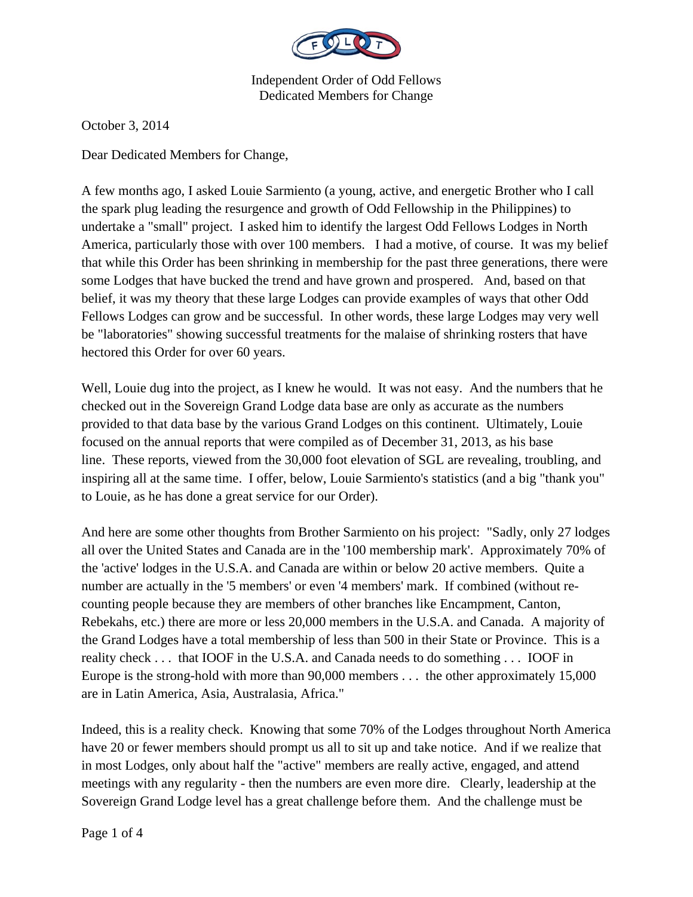

October 3, 2014

Dear Dedicated Members for Change,

A few months ago, I asked Louie Sarmiento (a young, active, and energetic Brother who I call the spark plug leading the resurgence and growth of Odd Fellowship in the Philippines) to undertake a "small" project. I asked him to identify the largest Odd Fellows Lodges in North America, particularly those with over 100 members. I had a motive, of course. It was my belief that while this Order has been shrinking in membership for the past three generations, there were some Lodges that have bucked the trend and have grown and prospered. And, based on that belief, it was my theory that these large Lodges can provide examples of ways that other Odd Fellows Lodges can grow and be successful. In other words, these large Lodges may very well be "laboratories" showing successful treatments for the malaise of shrinking rosters that have hectored this Order for over 60 years.

Well, Louie dug into the project, as I knew he would. It was not easy. And the numbers that he checked out in the Sovereign Grand Lodge data base are only as accurate as the numbers provided to that data base by the various Grand Lodges on this continent. Ultimately, Louie focused on the annual reports that were compiled as of December 31, 2013, as his base line. These reports, viewed from the 30,000 foot elevation of SGL are revealing, troubling, and inspiring all at the same time. I offer, below, Louie Sarmiento's statistics (and a big "thank you" to Louie, as he has done a great service for our Order).

And here are some other thoughts from Brother Sarmiento on his project: "Sadly, only 27 lodges all over the United States and Canada are in the '100 membership mark'. Approximately 70% of the 'active' lodges in the U.S.A. and Canada are within or below 20 active members. Quite a number are actually in the '5 members' or even '4 members' mark. If combined (without recounting people because they are members of other branches like Encampment, Canton, Rebekahs, etc.) there are more or less 20,000 members in the U.S.A. and Canada. A majority of the Grand Lodges have a total membership of less than 500 in their State or Province. This is a reality check . . . that IOOF in the U.S.A. and Canada needs to do something . . . IOOF in Europe is the strong-hold with more than 90,000 members . . . the other approximately 15,000 are in Latin America, Asia, Australasia, Africa."

Indeed, this is a reality check. Knowing that some 70% of the Lodges throughout North America have 20 or fewer members should prompt us all to sit up and take notice. And if we realize that in most Lodges, only about half the "active" members are really active, engaged, and attend meetings with any regularity - then the numbers are even more dire. Clearly, leadership at the Sovereign Grand Lodge level has a great challenge before them. And the challenge must be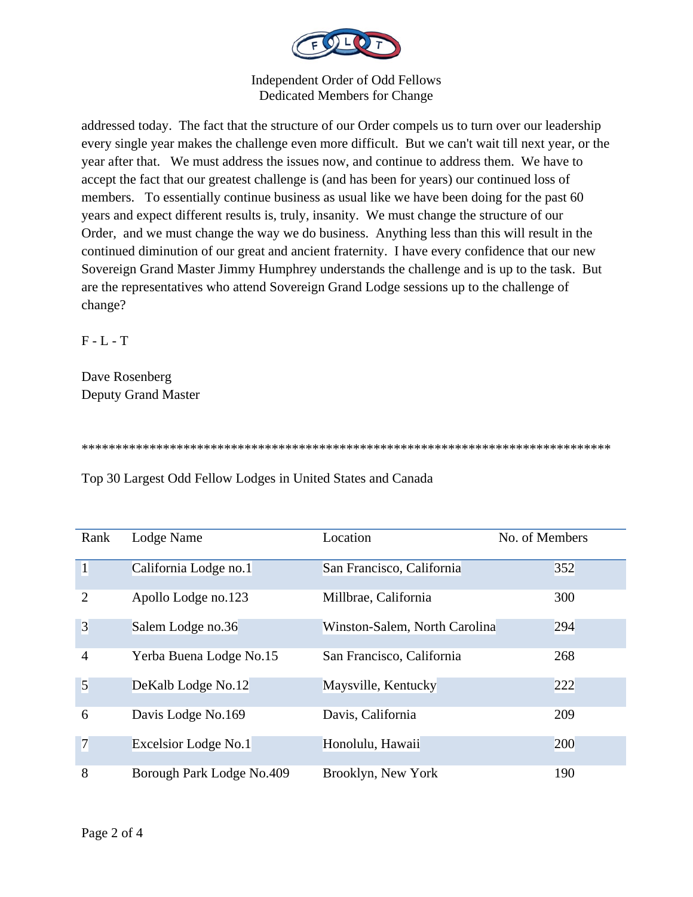

addressed today. The fact that the structure of our Order compels us to turn over our leadership every single year makes the challenge even more difficult. But we can't wait till next year, or the year after that. We must address the issues now, and continue to address them. We have to accept the fact that our greatest challenge is (and has been for years) our continued loss of members. To essentially continue business as usual like we have been doing for the past 60 years and expect different results is, truly, insanity. We must change the structure of our Order, and we must change the way we do business. Anything less than this will result in the continued diminution of our great and ancient fraternity. I have every confidence that our new Sovereign Grand Master Jimmy Humphrey understands the challenge and is up to the task. But are the representatives who attend Sovereign Grand Lodge sessions up to the challenge of change?

F - L - T

Dave Rosenberg Deputy Grand Master

\*\*\*\*\*\*\*\*\*\*\*\*\*\*\*\*\*\*\*\*\*\*\*\*\*\*\*\*\*\*\*\*\*\*\*\*\*\*\*\*\*\*\*\*\*\*\*\*\*\*\*\*\*\*\*\*\*\*\*\*\*\*\*\*\*\*\*\*\*\*\*\*\*\*\*\*\*\*

Top 30 Largest Odd Fellow Lodges in United States and Canada

| Rank           | Lodge Name                | Location                      | No. of Members |
|----------------|---------------------------|-------------------------------|----------------|
| $\vert$        | California Lodge no.1     | San Francisco, California     | 352            |
| $\overline{2}$ | Apollo Lodge no.123       | Millbrae, California          | 300            |
| $\overline{3}$ | Salem Lodge no.36         | Winston-Salem, North Carolina | 294            |
| $\overline{4}$ | Yerba Buena Lodge No.15   | San Francisco, California     | 268            |
| 5              | DeKalb Lodge No.12        | Maysville, Kentucky           | 222            |
| 6              | Davis Lodge No.169        | Davis, California             | 209            |
| $\overline{7}$ | Excelsior Lodge No.1      | Honolulu, Hawaii              | 200            |
| 8              | Borough Park Lodge No.409 | Brooklyn, New York            | 190            |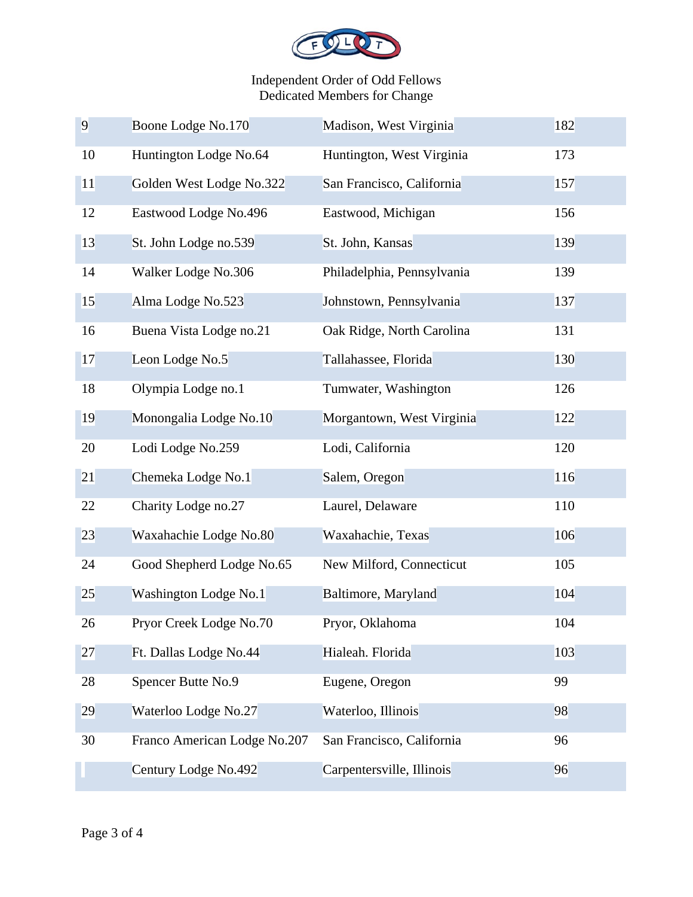

| 9  | Boone Lodge No.170           | Madison, West Virginia     | 182 |
|----|------------------------------|----------------------------|-----|
| 10 | Huntington Lodge No.64       | Huntington, West Virginia  | 173 |
| 11 | Golden West Lodge No.322     | San Francisco, California  | 157 |
| 12 | Eastwood Lodge No.496        | Eastwood, Michigan         | 156 |
| 13 | St. John Lodge no.539        | St. John, Kansas           | 139 |
| 14 | Walker Lodge No.306          | Philadelphia, Pennsylvania | 139 |
| 15 | Alma Lodge No.523            | Johnstown, Pennsylvania    | 137 |
| 16 | Buena Vista Lodge no.21      | Oak Ridge, North Carolina  | 131 |
| 17 | Leon Lodge No.5              | Tallahassee, Florida       | 130 |
| 18 | Olympia Lodge no.1           | Tumwater, Washington       | 126 |
| 19 | Monongalia Lodge No.10       | Morgantown, West Virginia  | 122 |
| 20 | Lodi Lodge No.259            | Lodi, California           | 120 |
| 21 | Chemeka Lodge No.1           | Salem, Oregon              | 116 |
| 22 | Charity Lodge no.27          | Laurel, Delaware           | 110 |
| 23 | Waxahachie Lodge No.80       | Waxahachie, Texas          | 106 |
| 24 | Good Shepherd Lodge No.65    | New Milford, Connecticut   | 105 |
| 25 | Washington Lodge No.1        | Baltimore, Maryland        | 104 |
| 26 | Pryor Creek Lodge No.70      | Pryor, Oklahoma            | 104 |
| 27 | Ft. Dallas Lodge No.44       | Hialeah. Florida           | 103 |
| 28 | Spencer Butte No.9           | Eugene, Oregon             | 99  |
| 29 | Waterloo Lodge No.27         | Waterloo, Illinois         | 98  |
| 30 | Franco American Lodge No.207 | San Francisco, California  | 96  |
|    | Century Lodge No.492         | Carpentersville, Illinois  | 96  |